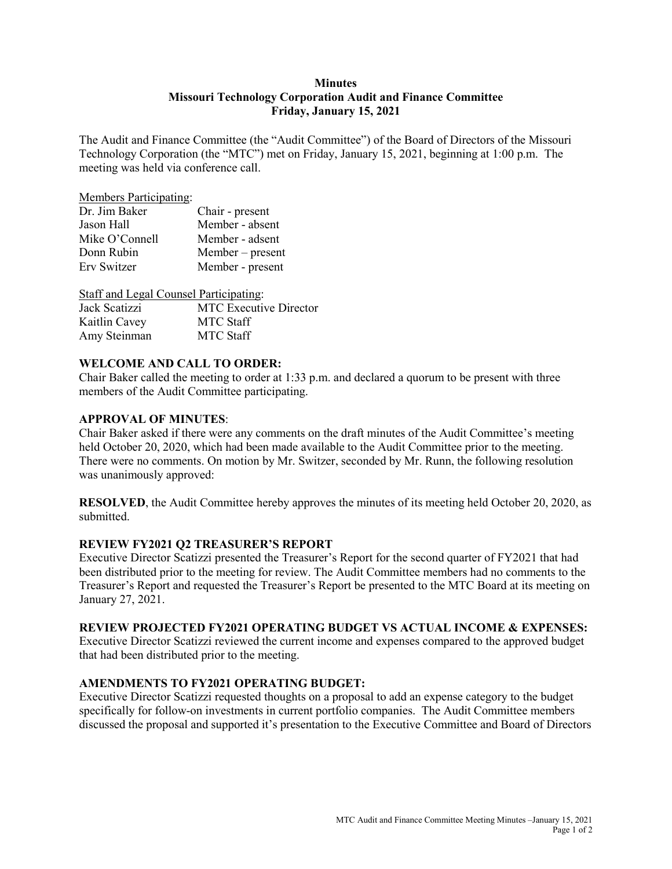## **Minutes Missouri Technology Corporation Audit and Finance Committee Friday, January 15, 2021**

The Audit and Finance Committee (the "Audit Committee") of the Board of Directors of the Missouri Technology Corporation (the "MTC") met on Friday, January 15, 2021, beginning at 1:00 p.m. The meeting was held via conference call.

#### Members Participating:

| Dr. Jim Baker  | Chair - present    |
|----------------|--------------------|
| Jason Hall     | Member - absent    |
| Mike O'Connell | Member - adsent    |
| Donn Rubin     | $Member - present$ |
| Erv Switzer    | Member - present   |

| Staff and Legal Counsel Participating: |                               |
|----------------------------------------|-------------------------------|
| Jack Scatizzi                          | <b>MTC</b> Executive Director |
| Kaitlin Cavey                          | <b>MTC</b> Staff              |
| Amy Steinman                           | <b>MTC Staff</b>              |

## **WELCOME AND CALL TO ORDER:**

Chair Baker called the meeting to order at 1:33 p.m. and declared a quorum to be present with three members of the Audit Committee participating.

### **APPROVAL OF MINUTES**:

Chair Baker asked if there were any comments on the draft minutes of the Audit Committee's meeting held October 20, 2020, which had been made available to the Audit Committee prior to the meeting. There were no comments. On motion by Mr. Switzer, seconded by Mr. Runn, the following resolution was unanimously approved:

**RESOLVED**, the Audit Committee hereby approves the minutes of its meeting held October 20, 2020, as submitted.

### **REVIEW FY2021 Q2 TREASURER'S REPORT**

Executive Director Scatizzi presented the Treasurer's Report for the second quarter of FY2021 that had been distributed prior to the meeting for review. The Audit Committee members had no comments to the Treasurer's Report and requested the Treasurer's Report be presented to the MTC Board at its meeting on January 27, 2021.

### **REVIEW PROJECTED FY2021 OPERATING BUDGET VS ACTUAL INCOME & EXPENSES:**

Executive Director Scatizzi reviewed the current income and expenses compared to the approved budget that had been distributed prior to the meeting.

# **AMENDMENTS TO FY2021 OPERATING BUDGET:**

Executive Director Scatizzi requested thoughts on a proposal to add an expense category to the budget specifically for follow-on investments in current portfolio companies. The Audit Committee members discussed the proposal and supported it's presentation to the Executive Committee and Board of Directors